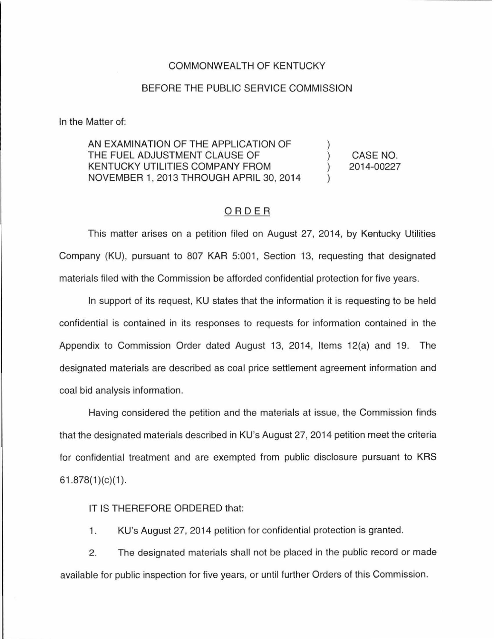## COMMONWEALTH OF KENTUCKY

## BEFORE THE PUBLIC SERVICE COMMISSION

In the Matter of:

AN EXAMINATION OF THE APPLICATION OF THE FUEL ADJUSTMENT CLAUSE OF KENTUCKY UTILITIES COMPANY FROM NOVEMBER 1, 2013 THROUGH APRIL 30, 2014 ) ) ) ) CASE NO. 2014-00227

## ORDER

This matter arises on a petition filed on August 27, 2014, by Kentucky Utilities Company (KU), pursuant to 807 KAR 5:001, Section 13, requesting that designated materials filed with the Commission be afforded confidential protection for five years.

In support of its request, KU states that the information it is requesting to be held confidential is contained in its responses to requests for information contained in the Appendix to Commission Order dated August 13, 2014, Items 12(a) and 19. The designated materials are described as coal price settlement agreement information and coal bid analysis information.

Having considered the petition and the materials at issue, the Commission finds that the designated materials described in KU's August 27, 2014 petition meet the criteria for confidential treatment and are exempted from public disclosure pursuant to KRS  $61.878(1)(c)(1)$ .

IT IS THEREFORE ORDERED that:

1. KU's August 27, 2014 petition for confidential protection is granted.

2. The designated materials shall not be placed in the public record or made available for public inspection for five years, or until further Orders of this Commission.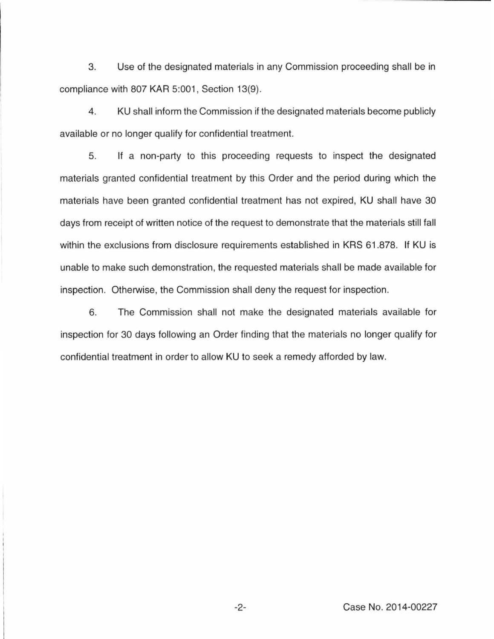3. Use of the designated materials in any Commission proceeding shall be in compliance with 807 KAR 5:001, Section 13(9).

4. KU shall inform the Commission if the designated materials become publicly available or no longer qualify for confidential treatment.

5. If a non-party to this proceeding requests to inspect the designated materials granted confidential treatment by this Order and the period during which the materials have been granted confidential treatment has not expired, KU shall have 30 days from receipt of written notice of the request to demonstrate that the materials still fall within the exclusions from disclosure requirements established in KRS 61.878. If KU is unable to make such demonstration, the requested materials shall be made available for inspection. Otherwise, the Commission shall deny the request for inspection.

6. The Commission shall not make the designated materials available for inspection for 30 days following an Order finding that the materials no longer qualify for confidential treatment in order to allow KU to seek a remedy afforded by law.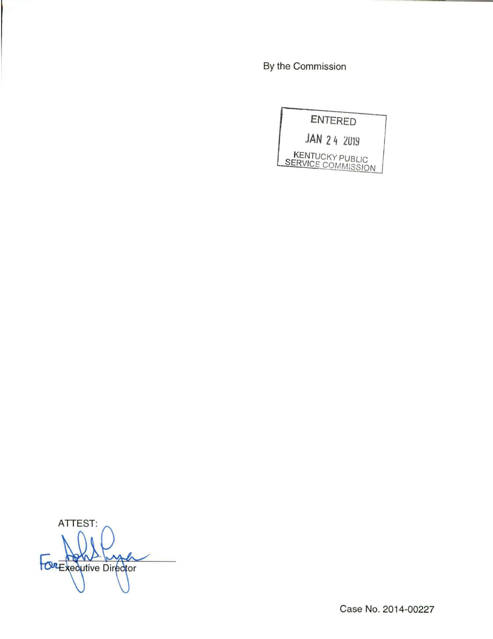By the Commission



ATTEST: ma gy COREXecutive Director

Case No. 2014-00227